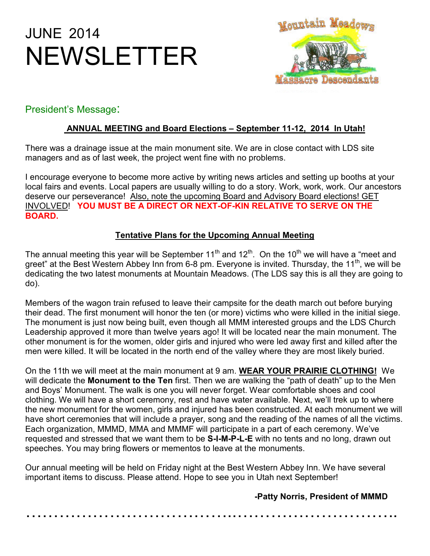# JUNE 2014 NEWSLETTER



# President's Message:

# **ANNUAL MEETING and Board Elections – September 11-12, 2014 In Utah!**

There was a drainage issue at the main monument site. We are in close contact with LDS site managers and as of last week, the project went fine with no problems.

I encourage everyone to become more active by writing news articles and setting up booths at your local fairs and events. Local papers are usually willing to do a story. Work, work, work. Our ancestors deserve our perseverance! Also, note the upcoming Board and Advisory Board elections! GET INVOLVED! **YOU MUST BE A DIRECT OR NEXT-OF-KIN RELATIVE TO SERVE ON THE BOARD.**

## **Tentative Plans for the Upcoming Annual Meeting**

The annual meeting this year will be September 11<sup>th</sup> and 12<sup>th</sup>. On the 10<sup>th</sup> we will have a "meet and greet" at the Best Western Abbey Inn from 6-8 pm. Everyone is invited. Thursday, the 11<sup>th</sup>, we will be dedicating the two latest monuments at Mountain Meadows. (The LDS say this is all they are going to do).

Members of the wagon train refused to leave their campsite for the death march out before burying their dead. The first monument will honor the ten (or more) victims who were killed in the initial siege. The monument is just now being built, even though all MMM interested groups and the LDS Church Leadership approved it more than twelve years ago! It will be located near the main monument. The other monument is for the women, older girls and injured who were led away first and killed after the men were killed. It will be located in the north end of the valley where they are most likely buried.

On the 11th we will meet at the main monument at 9 am. **WEAR YOUR PRAIRIE CLOTHING!** We will dedicate the **Monument to the Ten** first. Then we are walking the "path of death" up to the Men and Boys' Monument. The walk is one you will never forget. Wear comfortable shoes and cool clothing. We will have a short ceremony, rest and have water available. Next, we'll trek up to where the new monument for the women, girls and injured has been constructed. At each monument we will have short ceremonies that will include a prayer, song and the reading of the names of all the victims. Each organization, MMMD, MMA and MMMF will participate in a part of each ceremony. We've requested and stressed that we want them to be **S-I-M-P-L-E** with no tents and no long, drawn out speeches. You may bring flowers or mementos to leave at the monuments.

Our annual meeting will be held on Friday night at the Best Western Abbey Inn. We have several important items to discuss. Please attend. Hope to see you in Utah next September!

 **-Patty Norris, President of MMMD**

………………………………..………………………..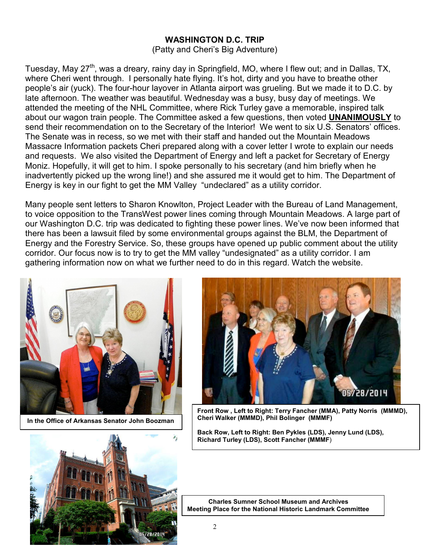#### **WASHINGTON D.C. TRIP**

(Patty and Cheri's Big Adventure)

Tuesday, May 27<sup>th</sup>, was a dreary, rainy day in Springfield, MO, where I flew out; and in Dallas, TX, where Cheri went through. I personally hate flying. It's hot, dirty and you have to breathe other people's air (yuck). The four-hour layover in Atlanta airport was grueling. But we made it to D.C. by late afternoon. The weather was beautiful. Wednesday was a busy, busy day of meetings. We attended the meeting of the NHL Committee, where Rick Turley gave a memorable, inspired talk about our wagon train people. The Committee asked a few questions, then voted **UNANIMOUSLY** to send their recommendation on to the Secretary of the Interior! We went to six U.S. Senators' offices. The Senate was in recess, so we met with their staff and handed out the Mountain Meadows Massacre Information packets Cheri prepared along with a cover letter I wrote to explain our needs and requests. We also visited the Department of Energy and left a packet for Secretary of Energy Moniz. Hopefully, it will get to him. I spoke personally to his secretary (and him briefly when he inadvertently picked up the wrong line!) and she assured me it would get to him. The Department of Energy is key in our fight to get the MM Valley "undeclared" as a utility corridor.

Many people sent letters to Sharon Knowlton, Project Leader with the Bureau of Land Management, to voice opposition to the TransWest power lines coming through Mountain Meadows. A large part of our Washington D.C. trip was dedicated to fighting these power lines. We've now been informed that there has been a lawsuit filed by some environmental groups against the BLM, the Department of Energy and the Forestry Service. So, these groups have opened up public comment about the utility corridor. Our focus now is to try to get the MM valley "undesignated" as a utility corridor. I am gathering information now on what we further need to do in this regard. Watch the website.



 **In the Office of Arkansas Senator John Boozman**





**Front Row , Left to Right: Terry Fancher (MMA), Patty Norris (MMMD), Cheri Walker (MMMD), Phil Bolinger (MMMF)**

**Back Row, Left to Right: Ben Pykles (LDS), Jenny Lund (LDS), Richard Turley (LDS), Scott Fancher (MMMF**)

 **Charles Sumner School Museum and Archives Meeting Place for the National Historic Landmark Committee**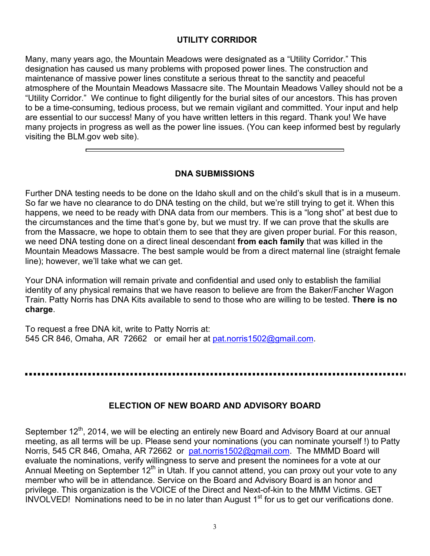#### **UTILITY CORRIDOR**

Many, many years ago, the Mountain Meadows were designated as a "Utility Corridor." This designation has caused us many problems with proposed power lines. The construction and maintenance of massive power lines constitute a serious threat to the sanctity and peaceful atmosphere of the Mountain Meadows Massacre site. The Mountain Meadows Valley should not be a "Utility Corridor." We continue to fight diligently for the burial sites of our ancestors. This has proven to be a time-consuming, tedious process, but we remain vigilant and committed. Your input and help are essential to our success! Many of you have written letters in this regard. Thank you! We have many projects in progress as well as the power line issues. (You can keep informed best by regularly visiting the BLM.gov web site).

#### **DNA SUBMISSIONS**

Further DNA testing needs to be done on the Idaho skull and on the child's skull that is in a museum. So far we have no clearance to do DNA testing on the child, but we're still trying to get it. When this happens, we need to be ready with DNA data from our members. This is a "long shot" at best due to the circumstances and the time that's gone by, but we must try. If we can prove that the skulls are from the Massacre, we hope to obtain them to see that they are given proper burial. For this reason, we need DNA testing done on a direct lineal descendant **from each family** that was killed in the Mountain Meadows Massacre. The best sample would be from a direct maternal line (straight female line); however, we'll take what we can get.

Your DNA information will remain private and confidential and used only to establish the familial identity of any physical remains that we have reason to believe are from the Baker/Fancher Wagon Train. Patty Norris has DNA Kits available to send to those who are willing to be tested. **There is no charge**.

To request a free DNA kit, write to Patty Norris at: 545 CR 846, Omaha, AR 72662 or email her at pat.norris1502@gmail.com.

#### **ELECTION OF NEW BOARD AND ADVISORY BOARD**

September 12<sup>th</sup>, 2014, we will be electing an entirely new Board and Advisory Board at our annual meeting, as all terms will be up. Please send your nominations (you can nominate yourself !) to Patty Norris, 545 CR 846, Omaha, AR 72662 or pat.norris1502@gmail.com. The MMMD Board will evaluate the nominations, verify willingness to serve and present the nominees for a vote at our Annual Meeting on September 12<sup>th</sup> in Utah. If you cannot attend, you can proxy out your vote to any member who will be in attendance. Service on the Board and Advisory Board is an honor and privilege. This organization is the VOICE of the Direct and Next-of-kin to the MMM Victims. GET  $INVOLVED!$  Nominations need to be in no later than August  $1<sup>st</sup>$  for us to get our verifications done.